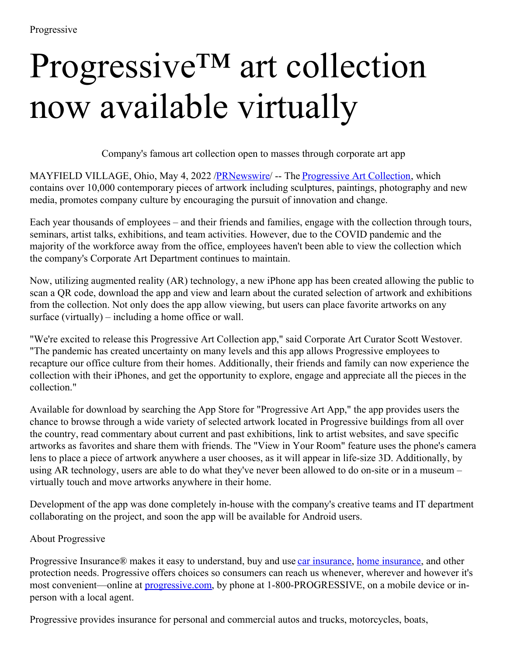## Progressive™ art collection now available virtually

Company's famous art collection open to masses through corporate art app

MAYFIELD VILLAGE, Ohio, May 4, 2022 [/PRNewswire](http://www.prnewswire.com/)/ -- The [Progressive](https://c212.net/c/link/?t=0&l=en&o=3524829-1&h=2321996018&u=https%3A%2F%2Fwww.progressive.com%2Fabout%2Fart%2F&a=Progressive+Art+Collection) Art Collection, which contains over 10,000 contemporary pieces of artwork including sculptures, paintings, photography and new media, promotes company culture by encouraging the pursuit of innovation and change.

Each year thousands of employees – and their friends and families, engage with the collection through tours, seminars, artist talks, exhibitions, and team activities. However, due to the COVID pandemic and the majority of the workforce away from the office, employees haven't been able to view the collection which the company's Corporate Art Department continues to maintain.

Now, utilizing augmented reality (AR) technology, a new iPhone app has been created allowing the public to scan a QR code, download the app and view and learn about the curated selection of artwork and exhibitions from the collection. Not only does the app allow viewing, but users can place favorite artworks on any surface (virtually) – including a home office or wall.

"We're excited to release this Progressive Art Collection app," said Corporate Art Curator Scott Westover. "The pandemic has created uncertainty on many levels and this app allows Progressive employees to recapture our office culture from their homes. Additionally, their friends and family can now experience the collection with their iPhones, and get the opportunity to explore, engage and appreciate all the pieces in the collection."

Available for download by searching the App Store for "Progressive Art App," the app provides users the chance to browse through a wide variety of selected artwork located in Progressive buildings from all over the country, read commentary about current and past exhibitions, link to artist websites, and save specific artworks as favorites and share them with friends. The "View in Your Room" feature uses the phone's camera lens to place a piece of artwork anywhere a user chooses, as it will appear in life-size 3D. Additionally, by using AR technology, users are able to do what they've never been allowed to do on-site or in a museum – virtually touch and move artworks anywhere in their home.

Development of the app was done completely in-house with the company's creative teams and IT department collaborating on the project, and soon the app will be available for Android users.

## About Progressive

Progressive Insurance® makes it easy to understand, buy and use car [insurance,](https://c212.net/c/link/?t=0&l=en&o=3524829-1&h=3917732918&u=https%3A%2F%2Fc212.net%2Fc%2Flink%2F%3Ft%3D0%26l%3Den%26o%3D3342452-1%26h%3D4290516491%26u%3Dhttps%253A%252F%252Fc212.net%252Fc%252Flink%252F%253Ft%253D0%2526l%253Den%2526o%253D3092536-1%2526h%253D1119383657%2526u%253Dhttps%25253A%25252F%25252Fwww.progressive.com%25252Fauto%25252F%2526a%253Dauto%252Binsurance%26a%3Dcar%2Binsurance&a=car+insurance) home [insurance](https://c212.net/c/link/?t=0&l=en&o=3524829-1&h=3105733487&u=https%3A%2F%2Fwww.progressive.com%2Fhomeowners%2F&a=home+insurance), and other protection needs. Progressive offers choices so consumers can reach us whenever, wherever and however it's most convenient—online at **[progressive.com](https://c212.net/c/link/?t=0&l=en&o=3524829-1&h=2275900243&u=https%3A%2F%2Fc212.net%2Fc%2Flink%2F%3Ft%3D0%26l%3Den%26o%3D3342452-1%26h%3D2903391992%26u%3Dhttps%253A%252F%252Fc212.net%252Fc%252Flink%252F%253Ft%253D0%2526l%253Den%2526o%253D3092536-1%2526h%253D3761897063%2526u%253Dhttps%25253A%25252F%25252Fwww.progressive.com%25252Fhome%25252Fhome%25252F%2526a%253Dprogressive.com%26a%3Dprogressive.com&a=progressive.com)**, by phone at 1-800-PROGRESSIVE, on a mobile device or inperson with a local agent.

Progressive provides insurance for personal and commercial autos and trucks, motorcycles, boats,